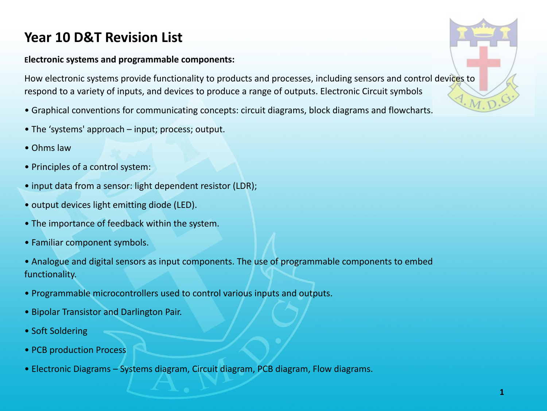## **Year 10 D&T Revision List**

## **Electronic systems and programmable components:**

How electronic systems provide functionality to products and processes, including sensors and control devices to respond to a variety of inputs, and devices to produce a range of outputs. Electronic Circuit symbols

- Graphical conventions for communicating concepts: circuit diagrams, block diagrams and flowcharts.
- The 'systems' approach input; process; output.
- Ohms law
- Principles of a control system:
- input data from a sensor: light dependent resistor (LDR);
- output devices light emitting diode (LED).
- The importance of feedback within the system.
- Familiar component symbols.
- Analogue and digital sensors as input components. The use of programmable components to embed functionality.
- Programmable microcontrollers used to control various inputs and outputs.
- Bipolar Transistor and Darlington Pair.
- Soft Soldering
- PCB production Process
- Electronic Diagrams Systems diagram, Circuit diagram, PCB diagram, Flow diagrams.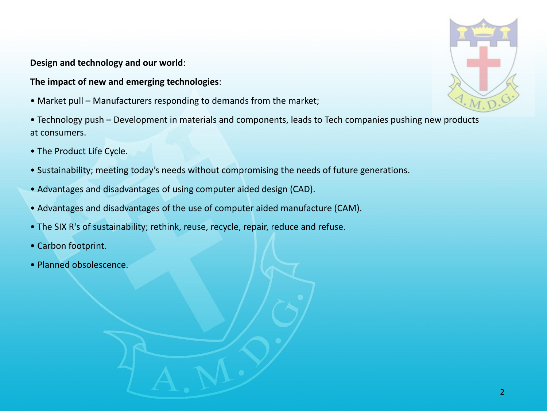**Design and technology and our world**:

- **The impact of new and emerging technologies**:
- Market pull Manufacturers responding to demands from the market;
- Technology push Development in materials and components, leads to Tech companies pushing new products at consumers.
- The Product Life Cycle.
- Sustainability; meeting today's needs without compromising the needs of future generations.
- Advantages and disadvantages of using computer aided design (CAD).
- Advantages and disadvantages of the use of computer aided manufacture (CAM).
- The SIX R's of sustainability; rethink, reuse, recycle, repair, reduce and refuse.
- Carbon footprint.
- Planned obsolescence.